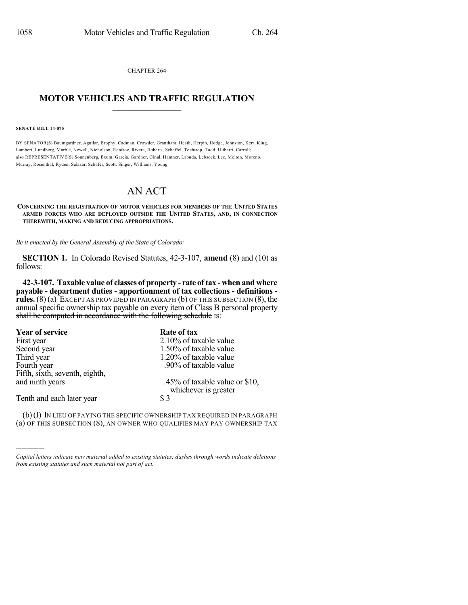CHAPTER 264  $\mathcal{L}_\text{max}$  . The set of the set of the set of the set of the set of the set of the set of the set of the set of the set of the set of the set of the set of the set of the set of the set of the set of the set of the set

## **MOTOR VEHICLES AND TRAFFIC REGULATION**  $\_$   $\_$   $\_$   $\_$   $\_$   $\_$   $\_$   $\_$   $\_$   $\_$

**SENATE BILL 14-075**

)))))

BY SENATOR(S) Baumgardner, Aguilar, Brophy, Cadman, Crowder, Grantham, Heath, Herpin, Hodge, Johnston, Kerr, King, Lambert, Lundberg, Marble, Newell, Nicholson, Renfroe, Rivera, Roberts, Scheffel, Tochtrop, Todd, Ulibarri, Carroll; also REPRESENTATIVE(S) Sonnenberg, Exum, Garcia, Gardner, Ginal, Hamner, Labuda, Lebsock, Lee, Melton, Moreno, Murray, Rosenthal, Ryden, Salazar, Schafer, Scott, Singer, Williams, Young.

## AN ACT

## **CONCERNING THE REGISTRATION OF MOTOR VEHICLES FOR MEMBERS OF THE UNITED STATES ARMED FORCES WHO ARE DEPLOYED OUTSIDE THE UNITED STATES, AND, IN CONNECTION THEREWITH, MAKING AND REDUCING APPROPRIATIONS.**

*Be it enacted by the General Assembly of the State of Colorado:*

**SECTION 1.** In Colorado Revised Statutes, 42-3-107, **amend** (8) and (10) as follows:

**42-3-107. Taxable value of classes of property - rate of tax - when and where payable - department duties - apportionment of tax collections - definitions rules.** (8) (a) EXCEPT AS PROVIDED IN PARAGRAPH (b) OF THIS SUBSECTION (8), the annual specific ownership tax payable on every item of Class B personal property shall be computed in accordance with the following schedule IS:

| <b>Year of service</b>         | Rate of tax                                            |
|--------------------------------|--------------------------------------------------------|
| First year                     | 2.10% of taxable value                                 |
| Second year                    | 1.50% of taxable value                                 |
| Third year                     | 1.20% of taxable value                                 |
| Fourth year                    | .90% of taxable value                                  |
| Fifth, sixth, seventh, eighth, |                                                        |
| and ninth years                | .45% of taxable value or \$10,<br>whichever is greater |
| Tenth and each later year      | \$3                                                    |

(b)(I) IN LIEU OF PAYING THE SPECIFIC OWNERSHIP TAX REQUIRED IN PARAGRAPH (a) OF THIS SUBSECTION (8), AN OWNER WHO QUALIFIES MAY PAY OWNERSHIP TAX

*Capital letters indicate new material added to existing statutes; dashes through words indicate deletions from existing statutes and such material not part of act.*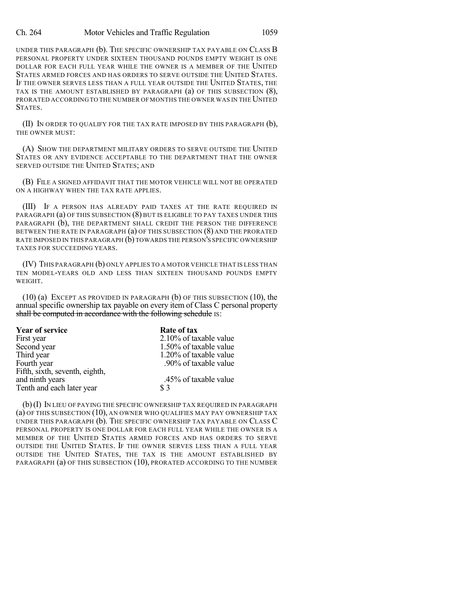UNDER THIS PARAGRAPH (b). THE SPECIFIC OWNERSHIP TAX PAYABLE ON CLASS B PERSONAL PROPERTY UNDER SIXTEEN THOUSAND POUNDS EMPTY WEIGHT IS ONE DOLLAR FOR EACH FULL YEAR WHILE THE OWNER IS A MEMBER OF THE UNITED STATES ARMED FORCES AND HAS ORDERS TO SERVE OUTSIDE THE UNITED STATES. IF THE OWNER SERVES LESS THAN A FULL YEAR OUTSIDE THE UNITED STATES, THE TAX IS THE AMOUNT ESTABLISHED BY PARAGRAPH (a) OF THIS SUBSECTION (8), PRORATED ACCORDING TO THE NUMBER OF MONTHS THE OWNER WAS IN THE UNITED STATES.

(II) IN ORDER TO QUALIFY FOR THE TAX RATE IMPOSED BY THIS PARAGRAPH (b), THE OWNER MUST:

(A) SHOW THE DEPARTMENT MILITARY ORDERS TO SERVE OUTSIDE THE UNITED STATES OR ANY EVIDENCE ACCEPTABLE TO THE DEPARTMENT THAT THE OWNER SERVED OUTSIDE THE UNITED STATES; AND

(B) FILE A SIGNED AFFIDAVIT THAT THE MOTOR VEHICLE WILL NOT BE OPERATED ON A HIGHWAY WHEN THE TAX RATE APPLIES.

(III) IF A PERSON HAS ALREADY PAID TAXES AT THE RATE REQUIRED IN PARAGRAPH (a) OF THIS SUBSECTION (8) BUT IS ELIGIBLE TO PAY TAXES UNDER THIS PARAGRAPH (b), THE DEPARTMENT SHALL CREDIT THE PERSON THE DIFFERENCE BETWEEN THE RATE IN PARAGRAPH (a) OF THIS SUBSECTION (8) AND THE PRORATED RATE IMPOSED IN THIS PARAGRAPH (b) TOWARDS THE PERSON'S SPECIFIC OWNERSHIP TAXES FOR SUCCEEDING YEARS.

(IV) THIS PARAGRAPH (b) ONLY APPLIES TO A MOTOR VEHICLE THAT IS LESS THAN TEN MODEL-YEARS OLD AND LESS THAN SIXTEEN THOUSAND POUNDS EMPTY WEIGHT.

(10) (a) EXCEPT AS PROVIDED IN PARAGRAPH (b) OF THIS SUBSECTION (10), the annual specific ownership tax payable on every item of Class C personal property shall be computed in accordance with the following schedule IS:

| Year of service                | Rate of tax            |
|--------------------------------|------------------------|
| First year                     | 2.10% of taxable value |
| Second year                    | 1.50% of taxable value |
| Third year                     | 1.20% of taxable value |
| Fourth year                    | .90% of taxable value  |
| Fifth, sixth, seventh, eighth, |                        |
| and ninth years                | .45% of taxable value  |
| Tenth and each later year      | \$3                    |

(b)(I) IN LIEU OF PAYING THE SPECIFIC OWNERSHIP TAX REQUIRED IN PARAGRAPH (a) OF THIS SUBSECTION (10), AN OWNER WHO QUALIFIES MAY PAY OWNERSHIP TAX UNDER THIS PARAGRAPH (b). THE SPECIFIC OWNERSHIP TAX PAYABLE ON CLASS C PERSONAL PROPERTY IS ONE DOLLAR FOR EACH FULL YEAR WHILE THE OWNER IS A MEMBER OF THE UNITED STATES ARMED FORCES AND HAS ORDERS TO SERVE OUTSIDE THE UNITED STATES. IF THE OWNER SERVES LESS THAN A FULL YEAR OUTSIDE THE UNITED STATES, THE TAX IS THE AMOUNT ESTABLISHED BY PARAGRAPH (a) OF THIS SUBSECTION (10), PRORATED ACCORDING TO THE NUMBER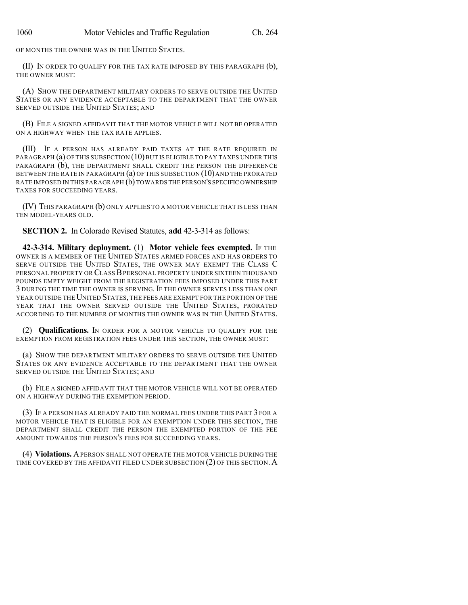OF MONTHS THE OWNER WAS IN THE UNITED STATES.

(II) IN ORDER TO QUALIFY FOR THE TAX RATE IMPOSED BY THIS PARAGRAPH (b), THE OWNER MUST:

(A) SHOW THE DEPARTMENT MILITARY ORDERS TO SERVE OUTSIDE THE UNITED STATES OR ANY EVIDENCE ACCEPTABLE TO THE DEPARTMENT THAT THE OWNER SERVED OUTSIDE THE UNITED STATES; AND

(B) FILE A SIGNED AFFIDAVIT THAT THE MOTOR VEHICLE WILL NOT BE OPERATED ON A HIGHWAY WHEN THE TAX RATE APPLIES.

(III) IF A PERSON HAS ALREADY PAID TAXES AT THE RATE REQUIRED IN PARAGRAPH (a) OF THIS SUBSECTION (10) BUT IS ELIGIBLE TO PAY TAXES UNDER THIS PARAGRAPH (b), THE DEPARTMENT SHALL CREDIT THE PERSON THE DIFFERENCE BETWEEN THE RATE IN PARAGRAPH  $(a)$  OF THIS SUBSECTION  $(10)$  and the prorated RATE IMPOSED IN THIS PARAGRAPH (b) TOWARDS THE PERSON'S SPECIFIC OWNERSHIP TAXES FOR SUCCEEDING YEARS.

(IV) THIS PARAGRAPH (b) ONLY APPLIES TO A MOTOR VEHICLE THAT IS LESS THAN TEN MODEL-YEARS OLD.

**SECTION 2.** In Colorado Revised Statutes, **add** 42-3-314 as follows:

**42-3-314. Military deployment.** (1) **Motor vehicle fees exempted.** IF THE OWNER IS A MEMBER OF THE UNITED STATES ARMED FORCES AND HAS ORDERS TO SERVE OUTSIDE THE UNITED STATES, THE OWNER MAY EXEMPT THE CLASS C PERSONAL PROPERTY OR CLASSBPERSONAL PROPERTY UNDER SIXTEEN THOUSAND POUNDS EMPTY WEIGHT FROM THE REGISTRATION FEES IMPOSED UNDER THIS PART 3 DURING THE TIME THE OWNER IS SERVING. IF THE OWNER SERVES LESS THAN ONE YEAR OUTSIDE THE UNITED STATES, THE FEES ARE EXEMPT FOR THE PORTION OF THE YEAR THAT THE OWNER SERVED OUTSIDE THE UNITED STATES, PRORATED ACCORDING TO THE NUMBER OF MONTHS THE OWNER WAS IN THE UNITED STATES.

(2) **Qualifications.** IN ORDER FOR A MOTOR VEHICLE TO QUALIFY FOR THE EXEMPTION FROM REGISTRATION FEES UNDER THIS SECTION, THE OWNER MUST:

(a) SHOW THE DEPARTMENT MILITARY ORDERS TO SERVE OUTSIDE THE UNITED STATES OR ANY EVIDENCE ACCEPTABLE TO THE DEPARTMENT THAT THE OWNER SERVED OUTSIDE THE UNITED STATES; AND

(b) FILE A SIGNED AFFIDAVIT THAT THE MOTOR VEHICLE WILL NOT BE OPERATED ON A HIGHWAY DURING THE EXEMPTION PERIOD.

(3) IF A PERSON HAS ALREADY PAID THE NORMAL FEES UNDER THIS PART 3 FOR A MOTOR VEHICLE THAT IS ELIGIBLE FOR AN EXEMPTION UNDER THIS SECTION, THE DEPARTMENT SHALL CREDIT THE PERSON THE EXEMPTED PORTION OF THE FEE AMOUNT TOWARDS THE PERSON'S FEES FOR SUCCEEDING YEARS.

(4) **Violations.** APERSON SHALL NOT OPERATE THE MOTOR VEHICLE DURING THE TIME COVERED BY THE AFFIDAVIT FILED UNDER SUBSECTION (2) OF THIS SECTION. A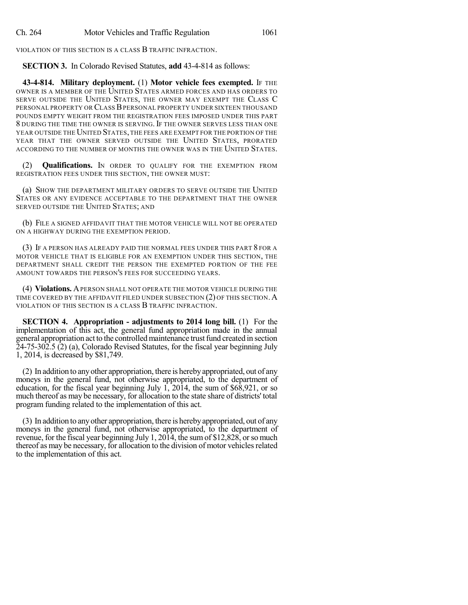VIOLATION OF THIS SECTION IS A CLASS B TRAFFIC INFRACTION.

**SECTION 3.** In Colorado Revised Statutes, **add** 43-4-814 as follows:

**43-4-814. Military deployment.** (1) **Motor vehicle fees exempted.** IF THE OWNER IS A MEMBER OF THE UNITED STATES ARMED FORCES AND HAS ORDERS TO SERVE OUTSIDE THE UNITED STATES, THE OWNER MAY EXEMPT THE CLASS C PERSONAL PROPERTY OR CLASSBPERSONAL PROPERTY UNDER SIXTEEN THOUSAND POUNDS EMPTY WEIGHT FROM THE REGISTRATION FEES IMPOSED UNDER THIS PART 8 DURING THE TIME THE OWNER IS SERVING. IF THE OWNER SERVES LESS THAN ONE YEAR OUTSIDE THE UNITED STATES, THE FEES ARE EXEMPT FOR THE PORTION OF THE YEAR THAT THE OWNER SERVED OUTSIDE THE UNITED STATES, PRORATED ACCORDING TO THE NUMBER OF MONTHS THE OWNER WAS IN THE UNITED STATES.

(2) **Qualifications.** IN ORDER TO QUALIFY FOR THE EXEMPTION FROM REGISTRATION FEES UNDER THIS SECTION, THE OWNER MUST:

(a) SHOW THE DEPARTMENT MILITARY ORDERS TO SERVE OUTSIDE THE UNITED STATES OR ANY EVIDENCE ACCEPTABLE TO THE DEPARTMENT THAT THE OWNER SERVED OUTSIDE THE UNITED STATES; AND

(b) FILE A SIGNED AFFIDAVIT THAT THE MOTOR VEHICLE WILL NOT BE OPERATED ON A HIGHWAY DURING THE EXEMPTION PERIOD.

(3) IF A PERSON HAS ALREADY PAID THE NORMAL FEES UNDER THIS PART 8 FOR A MOTOR VEHICLE THAT IS ELIGIBLE FOR AN EXEMPTION UNDER THIS SECTION, THE DEPARTMENT SHALL CREDIT THE PERSON THE EXEMPTED PORTION OF THE FEE AMOUNT TOWARDS THE PERSON'S FEES FOR SUCCEEDING YEARS.

(4) **Violations.** APERSON SHALL NOT OPERATE THE MOTOR VEHICLE DURING THE TIME COVERED BY THE AFFIDAVIT FILED UNDER SUBSECTION (2) OF THIS SECTION. A VIOLATION OF THIS SECTION IS A CLASS B TRAFFIC INFRACTION.

**SECTION 4. Appropriation - adjustments to 2014 long bill.** (1) For the implementation of this act, the general fund appropriation made in the annual general appropriation act to the controlledmaintenance trustfund created in section 24-75-302.5 (2) (a), Colorado Revised Statutes, for the fiscal year beginning July 1, 2014, is decreased by \$81,749.

(2) In addition to anyother appropriation, there is herebyappropriated, out of any moneys in the general fund, not otherwise appropriated, to the department of education, for the fiscal year beginning July  $1, 2014$ , the sum of \$68,921, or so much thereof as may be necessary, for allocation to the state share of districts' total program funding related to the implementation of this act.

(3) In addition to anyother appropriation, there is herebyappropriated, out of any moneys in the general fund, not otherwise appropriated, to the department of revenue, for the fiscal year beginning July 1, 2014, the sum of \$12,828, or so much thereof as may be necessary, for allocation to the division of motor vehicles related to the implementation of this act.